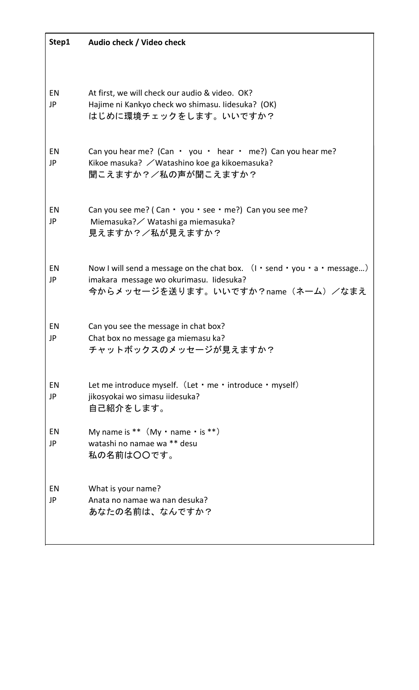| Step1    | Audio check / Video check                                                                                                                                                                                 |
|----------|-----------------------------------------------------------------------------------------------------------------------------------------------------------------------------------------------------------|
|          |                                                                                                                                                                                                           |
| EN<br>JP | At first, we will check our audio & video. OK?<br>Hajime ni Kankyo check wo shimasu. Iidesuka? (OK)<br>はじめに環境チェックをします。いいですか?                                                                              |
| EN<br>JP | Can you hear me? (Can $\cdot$ you $\cdot$ hear $\cdot$ me?) Can you hear me?<br>Kikoe masuka? / Watashino koe ga kikoemasuka?<br>聞こえますか?/私の声が聞こえますか?                                                      |
| EN<br>JP | Can you see me? (Can $\cdot$ you $\cdot$ see $\cdot$ me?) Can you see me?<br>Miemasuka? / Watashi ga miemasuka?<br>見えますか?/私が見えますか?                                                                        |
| EN<br>JP | Now I will send a message on the chat box. $(1 \cdot \text{send} \cdot \text{you} \cdot \text{a} \cdot \text{message})$<br>imakara message wo okurimasu. Iidesuka?<br>今からメッセージを送ります。いいですか?name (ネーム) /なまえ |
| EN<br>JP | Can you see the message in chat box?<br>Chat box no message ga miemasu ka?<br>チャットボックスのメッセージが見えますか?                                                                                                       |
| EN<br>JP | Let me introduce myself. (Let $\cdot$ me $\cdot$ introduce $\cdot$ myself)<br>jikosyokai wo simasu iidesuka?<br>自己紹介をします。                                                                                 |
| EN<br>JP | My name is $**$ (My $\cdot$ name $\cdot$ is $**$ )<br>watashi no namae wa ** desu<br>私の名前は〇〇です。                                                                                                           |
| EN<br>JP | What is your name?<br>Anata no namae wa nan desuka?<br>あなたの名前は、なんですか?                                                                                                                                     |